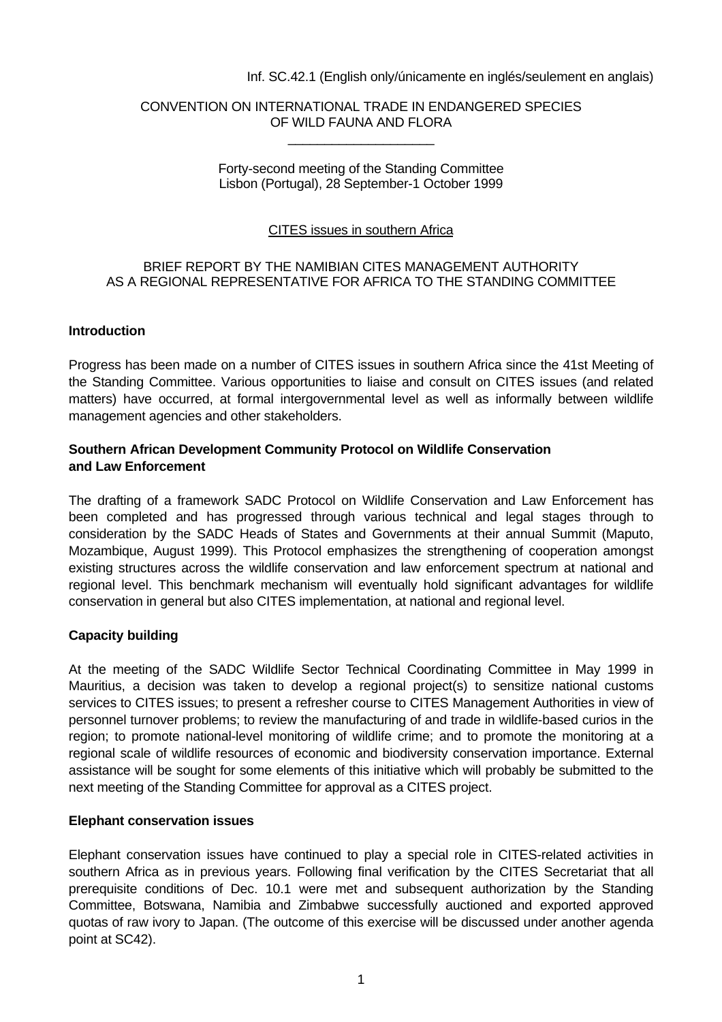#### Inf. SC.42.1 (English only/únicamente en inglés/seulement en anglais)

#### CONVENTION ON INTERNATIONAL TRADE IN ENDANGERED SPECIES OF WILD FAUNA AND FLORA \_\_\_\_\_\_\_\_\_\_\_\_\_\_\_\_\_\_\_\_

#### Forty-second meeting of the Standing Committee Lisbon (Portugal), 28 September-1 October 1999

## CITES issues in southern Africa

## BRIEF REPORT BY THE NAMIBIAN CITES MANAGEMENT AUTHORITY AS A REGIONAL REPRESENTATIVE FOR AFRICA TO THE STANDING COMMITTEE

#### **Introduction**

Progress has been made on a number of CITES issues in southern Africa since the 41st Meeting of the Standing Committee. Various opportunities to liaise and consult on CITES issues (and related matters) have occurred, at formal intergovernmental level as well as informally between wildlife management agencies and other stakeholders.

#### **Southern African Development Community Protocol on Wildlife Conservation and Law Enforcement**

The drafting of a framework SADC Protocol on Wildlife Conservation and Law Enforcement has been completed and has progressed through various technical and legal stages through to consideration by the SADC Heads of States and Governments at their annual Summit (Maputo, Mozambique, August 1999). This Protocol emphasizes the strengthening of cooperation amongst existing structures across the wildlife conservation and law enforcement spectrum at national and regional level. This benchmark mechanism will eventually hold significant advantages for wildlife conservation in general but also CITES implementation, at national and regional level.

## **Capacity building**

At the meeting of the SADC Wildlife Sector Technical Coordinating Committee in May 1999 in Mauritius, a decision was taken to develop a regional project(s) to sensitize national customs services to CITES issues; to present a refresher course to CITES Management Authorities in view of personnel turnover problems; to review the manufacturing of and trade in wildlife-based curios in the region; to promote national-level monitoring of wildlife crime; and to promote the monitoring at a regional scale of wildlife resources of economic and biodiversity conservation importance. External assistance will be sought for some elements of this initiative which will probably be submitted to the next meeting of the Standing Committee for approval as a CITES project.

#### **Elephant conservation issues**

Elephant conservation issues have continued to play a special role in CITES-related activities in southern Africa as in previous years. Following final verification by the CITES Secretariat that all prerequisite conditions of Dec. 10.1 were met and subsequent authorization by the Standing Committee, Botswana, Namibia and Zimbabwe successfully auctioned and exported approved quotas of raw ivory to Japan. (The outcome of this exercise will be discussed under another agenda point at SC42).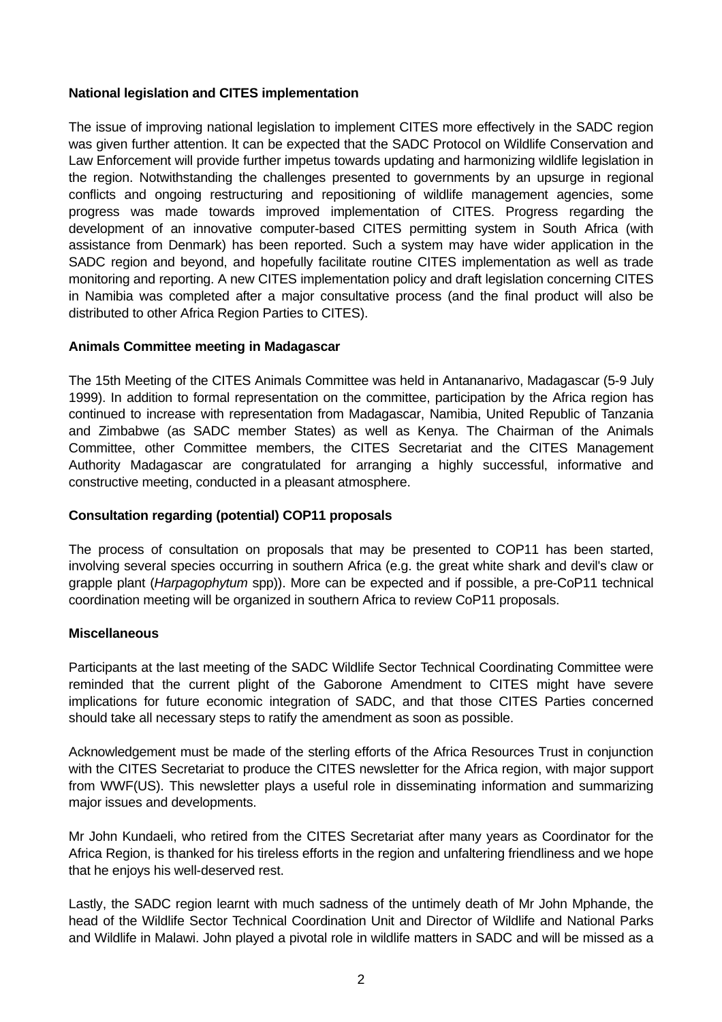# **National legislation and CITES implementation**

The issue of improving national legislation to implement CITES more effectively in the SADC region was given further attention. It can be expected that the SADC Protocol on Wildlife Conservation and Law Enforcement will provide further impetus towards updating and harmonizing wildlife legislation in the region. Notwithstanding the challenges presented to governments by an upsurge in regional conflicts and ongoing restructuring and repositioning of wildlife management agencies, some progress was made towards improved implementation of CITES. Progress regarding the development of an innovative computer-based CITES permitting system in South Africa (with assistance from Denmark) has been reported. Such a system may have wider application in the SADC region and beyond, and hopefully facilitate routine CITES implementation as well as trade monitoring and reporting. A new CITES implementation policy and draft legislation concerning CITES in Namibia was completed after a major consultative process (and the final product will also be distributed to other Africa Region Parties to CITES).

## **Animals Committee meeting in Madagascar**

The 15th Meeting of the CITES Animals Committee was held in Antananarivo, Madagascar (5-9 July 1999). In addition to formal representation on the committee, participation by the Africa region has continued to increase with representation from Madagascar, Namibia, United Republic of Tanzania and Zimbabwe (as SADC member States) as well as Kenya. The Chairman of the Animals Committee, other Committee members, the CITES Secretariat and the CITES Management Authority Madagascar are congratulated for arranging a highly successful, informative and constructive meeting, conducted in a pleasant atmosphere.

# **Consultation regarding (potential) COP11 proposals**

The process of consultation on proposals that may be presented to COP11 has been started, involving several species occurring in southern Africa (e.g. the great white shark and devil's claw or grapple plant (*Harpagophytum* spp)). More can be expected and if possible, a pre-CoP11 technical coordination meeting will be organized in southern Africa to review CoP11 proposals.

## **Miscellaneous**

Participants at the last meeting of the SADC Wildlife Sector Technical Coordinating Committee were reminded that the current plight of the Gaborone Amendment to CITES might have severe implications for future economic integration of SADC, and that those CITES Parties concerned should take all necessary steps to ratify the amendment as soon as possible.

Acknowledgement must be made of the sterling efforts of the Africa Resources Trust in conjunction with the CITES Secretariat to produce the CITES newsletter for the Africa region, with major support from WWF(US). This newsletter plays a useful role in disseminating information and summarizing major issues and developments.

Mr John Kundaeli, who retired from the CITES Secretariat after many years as Coordinator for the Africa Region, is thanked for his tireless efforts in the region and unfaltering friendliness and we hope that he enjoys his well-deserved rest.

Lastly, the SADC region learnt with much sadness of the untimely death of Mr John Mphande, the head of the Wildlife Sector Technical Coordination Unit and Director of Wildlife and National Parks and Wildlife in Malawi. John played a pivotal role in wildlife matters in SADC and will be missed as a